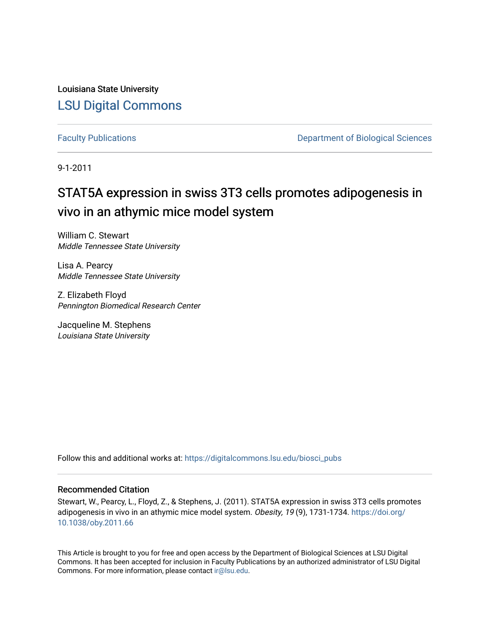Louisiana State University [LSU Digital Commons](https://digitalcommons.lsu.edu/)

[Faculty Publications](https://digitalcommons.lsu.edu/biosci_pubs) **Exercise 2 and Table 2 and Table 2 and Table 2 and Table 2 and Table 2 and Table 2 and Table 2 and Table 2 and Table 2 and Table 2 and Table 2 and Table 2 and Table 2 and Table 2 and Table 2 and Table** 

9-1-2011

## STAT5A expression in swiss 3T3 cells promotes adipogenesis in vivo in an athymic mice model system

William C. Stewart Middle Tennessee State University

Lisa A. Pearcy Middle Tennessee State University

Z. Elizabeth Floyd Pennington Biomedical Research Center

Jacqueline M. Stephens Louisiana State University

Follow this and additional works at: [https://digitalcommons.lsu.edu/biosci\\_pubs](https://digitalcommons.lsu.edu/biosci_pubs?utm_source=digitalcommons.lsu.edu%2Fbiosci_pubs%2F3283&utm_medium=PDF&utm_campaign=PDFCoverPages)

#### Recommended Citation

Stewart, W., Pearcy, L., Floyd, Z., & Stephens, J. (2011). STAT5A expression in swiss 3T3 cells promotes adipogenesis in vivo in an athymic mice model system. Obesity, 19 (9), 1731-1734. [https://doi.org/](https://doi.org/10.1038/oby.2011.66) [10.1038/oby.2011.66](https://doi.org/10.1038/oby.2011.66) 

This Article is brought to you for free and open access by the Department of Biological Sciences at LSU Digital Commons. It has been accepted for inclusion in Faculty Publications by an authorized administrator of LSU Digital Commons. For more information, please contact [ir@lsu.edu](mailto:ir@lsu.edu).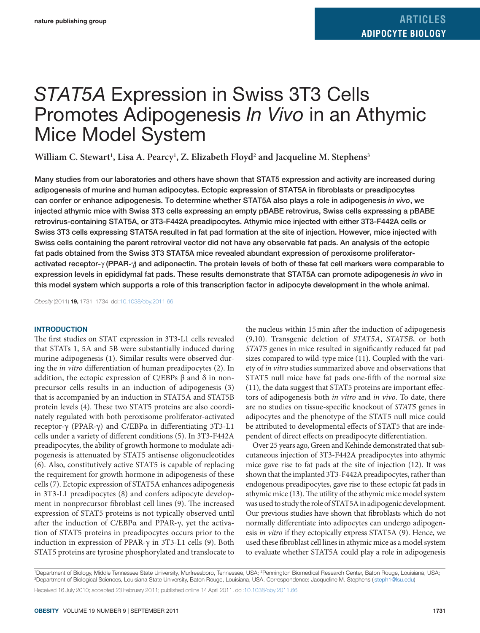# *STAT5A* Expression in Swiss 3T3 Cells Promotes Adipogenesis *In Vivo* in an Athymic Mice Model System

William C. Stewart<sup>1</sup>, Lisa A. Pearcy<sup>1</sup>, Z. Elizabeth Floyd<sup>2</sup> and Jacqueline M. Stephens<sup>3</sup>

Many studies from our laboratories and others have shown that STAT5 expression and activity are increased during adipogenesis of murine and human adipocytes. Ectopic expression of STAT5A in fibroblasts or preadipocytes can confer or enhance adipogenesis. To determine whether STAT5A also plays a role in adipogenesis *in vivo*, we injected athymic mice with Swiss 3T3 cells expressing an empty pBABE retrovirus, Swiss cells expressing a pBABE retrovirus-containing STAT5A, or 3T3-F442A preadipocytes. Athymic mice injected with either 3T3-F442A cells or Swiss 3T3 cells expressing STAT5A resulted in fat pad formation at the site of injection. However, mice injected with Swiss cells containing the parent retroviral vector did not have any observable fat pads. An analysis of the ectopic fat pads obtained from the Swiss 3T3 STAT5A mice revealed abundant expression of peroxisome proliferatoractivated receptor-γ (PPAR-γ) and adiponectin. The protein levels of both of these fat cell markers were comparable to expression levels in epididymal fat pads. These results demonstrate that STAT5A can promote adipogenesis *in vivo* in this model system which supports a role of this transcription factor in adipocyte development in the whole animal.

*Obesity* (2011) **19,** 1731–1734. doi[:10.1038/oby.2011.66](http://www.nature.com/doifinder/10.1038/oby.2011.66)

#### **Introduction**

The first studies on STAT expression in 3T3-L1 cells revealed that STATs 1, 5A and 5B were substantially induced during murine adipogenesis (1). Similar results were observed during the *in vitro* differentiation of human preadipocytes (2). In addition, the ectopic expression of C/EBPs β and δ in nonprecursor cells results in an induction of adipogenesis (3) that is accompanied by an induction in STAT5A and STAT5B protein levels (4). These two STAT5 proteins are also coordinately regulated with both peroxisome proliferator-activated receptor-γ (PPAR-γ) and C/EBPα in differentiating 3T3-L1 cells under a variety of different conditions (5). In 3T3-F442A preadipocytes, the ability of growth hormone to modulate adipogenesis is attenuated by STAT5 antisense oligonucleotides (6). Also, constitutively active STAT5 is capable of replacing the requirement for growth hormone in adipogenesis of these cells (7). Ectopic expression of STAT5A enhances adipogenesis in 3T3-L1 preadipocytes (8) and confers adipocyte development in nonprecursor fibroblast cell lines (9). The increased expression of STAT5 proteins is not typically observed until after the induction of C/EBPα and PPAR-γ, yet the activation of STAT5 proteins in preadipocytes occurs prior to the induction in expression of PPAR-γ in 3T3-L1 cells (9). Both STAT5 proteins are tyrosine phosphorylated and translocate to the nucleus within 15min after the induction of adipogenesis (9,10). Transgenic deletion of *STAT5A*, *STAT5B*, or both *STAT5* genes in mice resulted in significantly reduced fat pad sizes compared to wild-type mice (11). Coupled with the variety of *in vitro* studies summarized above and observations that STAT5 null mice have fat pads one-fifth of the normal size (11), the data suggest that STAT5 proteins are important effectors of adipogenesis both *in vitro* and *in vivo*. To date, there are no studies on tissue-specific knockout of *STAT5* genes in adipocytes and the phenotype of the STAT5 null mice could be attributed to developmental effects of STAT5 that are independent of direct effects on preadipocyte differentiation.

Over 25 years ago, Green and Kehinde demonstrated that subcutaneous injection of 3T3-F442A preadipocytes into athymic mice gave rise to fat pads at the site of injection (12). It was shown that the implanted 3T3-F442A preadipocytes, rather than endogenous preadipocytes, gave rise to these ectopic fat pads in athymic mice (13). The utility of the athymic mice model system was used to study the role of STAT5A in adipogenic development. Our previous studies have shown that fibroblasts which do not normally differentiate into adipocytes can undergo adipogenesis *in vitro* if they ectopically express STAT5A (9). Hence, we used these fibroblast cell lines in athymic mice as a model system to evaluate whether STAT5A could play a role in adipogenesis

'Department of Biology, Middle Tennessee State University, Murfreesboro, Tennessee, USA; ?Pennington Biomedical Research Center, Baton Rouge, Louisiana, USA;<br>°Department of Biological Sciences Louisiana State University Ba Department of Biological Sciences, Louisiana State University, Baton Rouge, Louisiana, USA. Correspondence: Jacqueline M. Stephens [\(jsteph1@lsu.edu\)](mailto:jsteph1@lsu.edu) Received 16 July 2010; accepted 23 February 2011; published online 14 April 2011. do[i:10.1038/oby.2011.66](http://www.nature.com/doifinder/10.1038/oby.2011.66)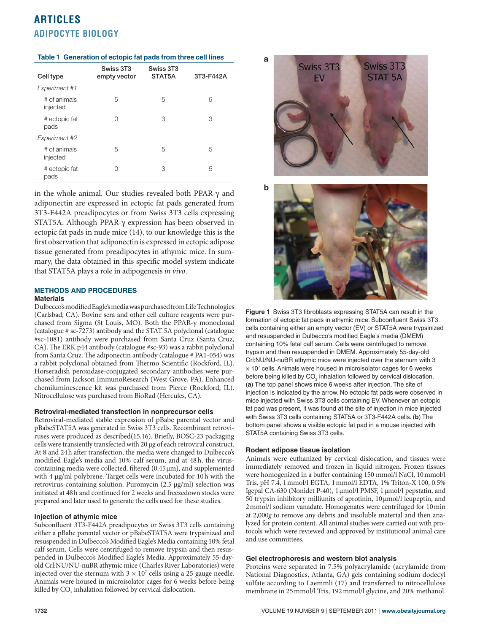## **articles Adipocyte Biology**

#### **Table 1 Generation of ectopic fat pads from three cell lines**

| Cell type                | Swiss 3T3<br>empty vector | Swiss 3T3<br>STAT5A | 3T3-F442A |
|--------------------------|---------------------------|---------------------|-----------|
| Experiment #1            |                           |                     |           |
| # of animals<br>injected | 5                         | 5                   | 5         |
| # ectopic fat<br>pads    | 0                         | 3                   | 3         |
| Experiment #2            |                           |                     |           |
| # of animals<br>injected | 5                         | 5                   | 5         |
| # ectopic fat<br>pads    | Ω                         | 3                   | 5         |

in the whole animal. Our studies revealed both PPAR-γ and adiponectin are expressed in ectopic fat pads generated from 3T3-F442A preadipocytes or from Swiss 3T3 cells expressing STAT5A. Although PPAR-γ expression has been observed in ectopic fat pads in nude mice (14), to our knowledge this is the first observation that adiponectin is expressed in ectopic adipose tissue generated from preadipocytes in athymic mice. In summary, the data obtained in this specific model system indicate that STAT5A plays a role in adipogenesis *in vivo*.

#### **Methods and Procedures Materials**

Dulbecco's modified Eagle's media was purchased from Life Technologies (Carlsbad, CA). Bovine sera and other cell culture reagents were purchased from Sigma (St Louis, MO). Both the PPAR-γ monoclonal (catalogue # sc-7273) antibody and the STAT 5A polyclonal (catalogue #sc-1081) antibody were purchased from Santa Cruz (Santa Cruz, CA). The ERK p44 antibody (catalogue #sc-93) was a rabbit polyclonal from Santa Cruz. The adiponectin antibody (catalogue # PA1-054) was a rabbit polyclonal obtained from Thermo Scientific (Rockford, IL). Horseradish peroxidase-conjugated secondary antibodies were purchased from Jackson ImmunoResearch (West Grove, PA). Enhanced chemiluminescence kit was purchased from Pierce (Rockford, IL). Nitrocellulose was purchased from BioRad (Hercules, CA).

#### **Retroviral-mediated transfection in nonprecursor cells**

Retroviral-mediated stable expression of pBabe parental vector and pBabeSTAT5A was generated in Swiss 3T3 cells. Recombinant retroviruses were produced as described(15,16). Briefly, BOSC-23 packaging cells were transiently transfected with 20 µg of each retroviral construct. At 8 and 24h after transfection, the media were changed to Dulbecco's modified Eagle's media and 10% calf serum, and at 48h, the viruscontaining media were collected, filtered (0.45µm), and supplemented with 4 µg/ml polybrene. Target cells were incubated for 10h with the retrovirus-containing solution. Puromycin (2.5 µg/ml) selection was initiated at 48h and continued for 2 weeks and freezedown stocks were prepared and later used to generate the cells used for these studies.

#### **Injection of athymic mice**

Subconfluent 3T3-F442A preadipocytes or Swiss 3T3 cells containing either a pBabe parental vector or pBabeSTAT5A were trypsinized and resuspended in Dulbecco's Modified Eagle's Media containing 10% fetal calf serum. Cells were centrifuged to remove trypsin and then resuspended in Dulbecco's Modified Eagle's Media. Approximately 55-dayold Crl:NU/NU-nuBR athymic mice (Charles River Laboratories) were injected over the sternum with  $3 \times 10^7$  cells using a 25 gauge needle. Animals were housed in microisolator cages for 6 weeks before being killed by  $\mathrm{CO}_2$  inhalation followed by cervical dislocation.



**Figure 1** Swiss 3T3 fibroblasts expressing STAT5A can result in the formation of ectopic fat pads in athymic mice. Subconfluent Swiss 3T3 cells containing either an empty vector (EV) or STAT5A were trypsinized and resuspended in Dulbecco's modified Eagle's media (DMEM) containing 10% fetal calf serum. Cells were centrifuged to remove trypsin and then resuspended in DMEM. Approximately 55-day-old Crl:NU/NU-nuBR athymic mice were injected over the sternum with 3  $\times$  10<sup>7</sup> cells. Animals were housed in microisolator cages for 6 weeks before being killed by  $CO<sub>2</sub>$  inhalation followed by cervical dislocation. (**a**) The top panel shows mice 6 weeks after injection. The site of injection is indicated by the arrow. No ectopic fat pads were observed in mice injected with Swiss 3T3 cells containing EV. Whenever an ectopic fat pad was present, it was found at the site of injection in mice injected with Swiss 3T3 cells containing STAT5A or 3T3-F442A cells. (**b**) The bottom panel shows a visible ectopic fat pad in a mouse injected with STAT5A containing Swiss 3T3 cells.

#### **Rodent adipose tissue isolation**

Animals were euthanized by cervical dislocation, and tissues were immediately removed and frozen in liquid nitrogen. Frozen tissues were homogenized in a buffer containing 150 mmol/l NaCl, 10mmol/l Tris, pH 7.4, 1mmol/l EGTA, 1mmol/l EDTA, 1% Triton-X 100, 0.5% Igepal CA-630 (Nonidet P-40), 1μmol/l PMSF, 1μmol/l pepstatin, and 50 trypsin inhibitory milliunits of aprotinin, 10μmol/l leupeptin, and 2mmol/l sodium vanadate. Homogenates were centrifuged for 10min at 2,000*g* to remove any debris and insoluble material and then analyzed for protein content. All animal studies were carried out with protocols which were reviewed and approved by institutional animal care and use committees.

#### **Gel electrophoresis and western blot analysis**

Proteins were separated in 7.5% polyacrylamide (acrylamide from National Diagnostics, Atlanta, GA) gels containing sodium dodecyl sulfate according to Laemmli (17) and transferred to nitrocellulose membrane in 25mmol/l Tris, 192mmol/l glycine, and 20% methanol.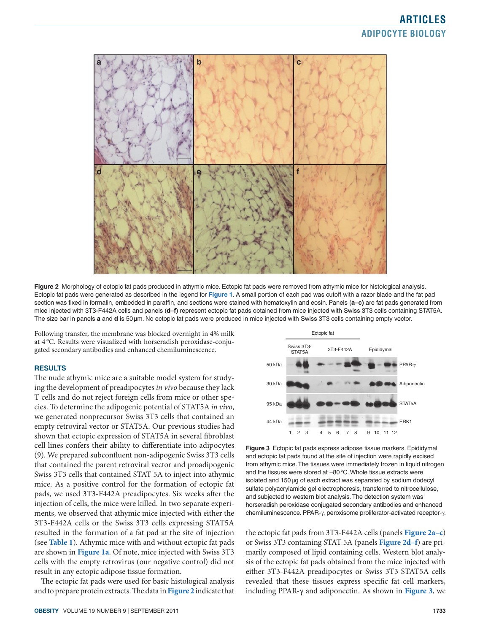## **articles Adipocyte Biology**



**Figure 2** Morphology of ectopic fat pads produced in athymic mice. Ectopic fat pads were removed from athymic mice for histological analysis. Ectopic fat pads were generated as described in the legend for **Figure 1**. A small portion of each pad was cutoff with a razor blade and the fat pad section was fixed in formalin, embedded in paraffin, and sections were stained with hematoxylin and eosin. Panels (**a**–**c)** are fat pads generated from mice injected with 3T3-F442A cells and panels (**d**–**f)** represent ectopic fat pads obtained from mice injected with Swiss 3T3 cells containing STAT5A. The size bar in panels **a** and **d** is 50µm. No ectopic fat pads were produced in mice injected with Swiss 3T3 cells containing empty vector.

Following transfer, the membrane was blocked overnight in 4% milk at 4 °C. Results were visualized with horseradish peroxidase-conjugated secondary antibodies and enhanced chemiluminescence.

#### **Results**

The nude athymic mice are a suitable model system for studying the development of preadipocytes *in vivo* because they lack T cells and do not reject foreign cells from mice or other species. To determine the adipogenic potential of STAT5A *in vivo*, we generated nonprecursor Swiss 3T3 cells that contained an empty retroviral vector or STAT5A. Our previous studies had shown that ectopic expression of STAT5A in several fibroblast cell lines confers their ability to differentiate into adipocytes (9). We prepared subconfluent non-adipogenic Swiss 3T3 cells that contained the parent retroviral vector and proadipogenic Swiss 3T3 cells that contained STAT 5A to inject into athymic mice. As a positive control for the formation of ectopic fat pads, we used 3T3-F442A preadipocytes. Six weeks after the injection of cells, the mice were killed. In two separate experiments, we observed that athymic mice injected with either the 3T3-F442A cells or the Swiss 3T3 cells expressing STAT5A resulted in the formation of a fat pad at the site of injection (see **Table 1**). Athymic mice with and without ectopic fat pads are shown in **Figure 1a**. Of note, mice injected with Swiss 3T3 cells with the empty retrovirus (our negative control) did not result in any ectopic adipose tissue formation.

The ectopic fat pads were used for basic histological analysis and to prepare protein extracts. The data in **Figure 2** indicate that



**Figure 3** Ectopic fat pads express adipose tissue markers. Epididymal and ectopic fat pads found at the site of injection were rapidly excised from athymic mice. The tissues were immediately frozen in liquid nitrogen and the tissues were stored at −80°C. Whole tissue extracts were isolated and 150µg of each extract was separated by sodium dodecyl sulfate polyacrylamide gel electrophoresis, transferred to nitrocellulose, and subjected to western blot analysis. The detection system was horseradish peroxidase conjugated secondary antibodies and enhanced chemiluminescence. PPAR-γ, peroxisome proliferator-activated receptor-γ.

the ectopic fat pads from 3T3-F442A cells (panels **Figure 2a–c**) or Swiss 3T3 containing STAT 5A (panels **Figure 2d–f**) are primarily composed of lipid containing cells. Western blot analysis of the ectopic fat pads obtained from the mice injected with either 3T3-F442A preadipocytes or Swiss 3T3 STAT5A cells revealed that these tissues express specific fat cell markers, including PPAR-γ and adiponectin. As shown in **Figure 3**, we